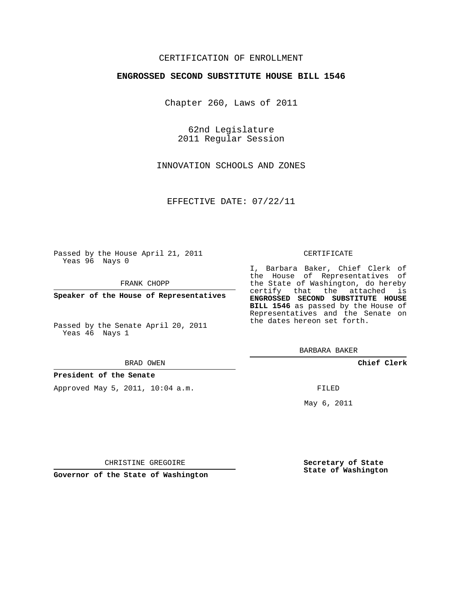# CERTIFICATION OF ENROLLMENT

## **ENGROSSED SECOND SUBSTITUTE HOUSE BILL 1546**

Chapter 260, Laws of 2011

62nd Legislature 2011 Regular Session

INNOVATION SCHOOLS AND ZONES

EFFECTIVE DATE: 07/22/11

Passed by the House April 21, 2011 Yeas 96 Nays 0

FRANK CHOPP

**Speaker of the House of Representatives**

Passed by the Senate April 20, 2011 Yeas 46 Nays 1

#### BRAD OWEN

### **President of the Senate**

Approved May 5, 2011, 10:04 a.m.

#### CERTIFICATE

I, Barbara Baker, Chief Clerk of certify that the attached is **ENGROSSED SECOND SUBSTITUTE HOUSE**

BARBARA BAKER

**Chief Clerk**

FILED

May 6, 2011

**Secretary of State State of Washington**

CHRISTINE GREGOIRE

**Governor of the State of Washington**

the House of Representatives of the State of Washington, do hereby **BILL 1546** as passed by the House of Representatives and the Senate on the dates hereon set forth.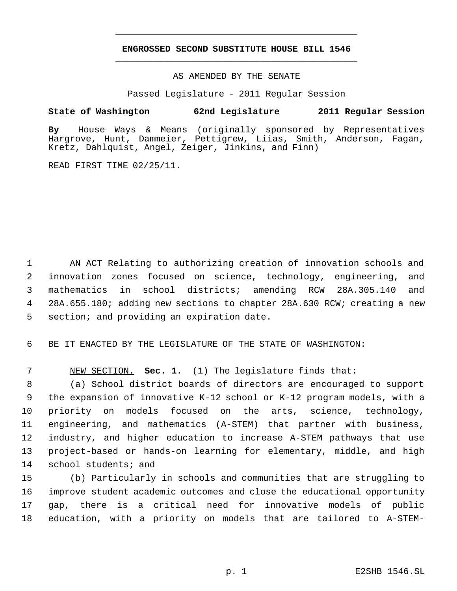# **ENGROSSED SECOND SUBSTITUTE HOUSE BILL 1546** \_\_\_\_\_\_\_\_\_\_\_\_\_\_\_\_\_\_\_\_\_\_\_\_\_\_\_\_\_\_\_\_\_\_\_\_\_\_\_\_\_\_\_\_\_

\_\_\_\_\_\_\_\_\_\_\_\_\_\_\_\_\_\_\_\_\_\_\_\_\_\_\_\_\_\_\_\_\_\_\_\_\_\_\_\_\_\_\_\_\_

## AS AMENDED BY THE SENATE

Passed Legislature - 2011 Regular Session

# **State of Washington 62nd Legislature 2011 Regular Session**

**By** House Ways & Means (originally sponsored by Representatives Hargrove, Hunt, Dammeier, Pettigrew, Liias, Smith, Anderson, Fagan, Kretz, Dahlquist, Angel, Zeiger, Jinkins, and Finn)

READ FIRST TIME 02/25/11.

 AN ACT Relating to authorizing creation of innovation schools and innovation zones focused on science, technology, engineering, and mathematics in school districts; amending RCW 28A.305.140 and 28A.655.180; adding new sections to chapter 28A.630 RCW; creating a new section; and providing an expiration date.

6 BE IT ENACTED BY THE LEGISLATURE OF THE STATE OF WASHINGTON:

7 NEW SECTION. **Sec. 1.** (1) The legislature finds that:

 (a) School district boards of directors are encouraged to support the expansion of innovative K-12 school or K-12 program models, with a priority on models focused on the arts, science, technology, engineering, and mathematics (A-STEM) that partner with business, industry, and higher education to increase A-STEM pathways that use project-based or hands-on learning for elementary, middle, and high 14 school students; and

 (b) Particularly in schools and communities that are struggling to improve student academic outcomes and close the educational opportunity gap, there is a critical need for innovative models of public education, with a priority on models that are tailored to A-STEM-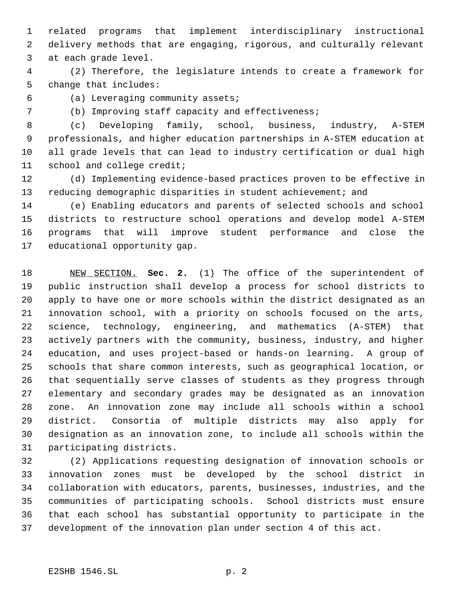related programs that implement interdisciplinary instructional delivery methods that are engaging, rigorous, and culturally relevant at each grade level.

 (2) Therefore, the legislature intends to create a framework for change that includes:

(a) Leveraging community assets;

(b) Improving staff capacity and effectiveness;

 (c) Developing family, school, business, industry, A-STEM professionals, and higher education partnerships in A-STEM education at all grade levels that can lead to industry certification or dual high school and college credit;

 (d) Implementing evidence-based practices proven to be effective in 13 reducing demographic disparities in student achievement; and

 (e) Enabling educators and parents of selected schools and school districts to restructure school operations and develop model A-STEM programs that will improve student performance and close the educational opportunity gap.

 NEW SECTION. **Sec. 2.** (1) The office of the superintendent of public instruction shall develop a process for school districts to apply to have one or more schools within the district designated as an innovation school, with a priority on schools focused on the arts, science, technology, engineering, and mathematics (A-STEM) that actively partners with the community, business, industry, and higher education, and uses project-based or hands-on learning. A group of schools that share common interests, such as geographical location, or that sequentially serve classes of students as they progress through elementary and secondary grades may be designated as an innovation zone. An innovation zone may include all schools within a school district. Consortia of multiple districts may also apply for designation as an innovation zone, to include all schools within the participating districts.

 (2) Applications requesting designation of innovation schools or innovation zones must be developed by the school district in collaboration with educators, parents, businesses, industries, and the communities of participating schools. School districts must ensure that each school has substantial opportunity to participate in the development of the innovation plan under section 4 of this act.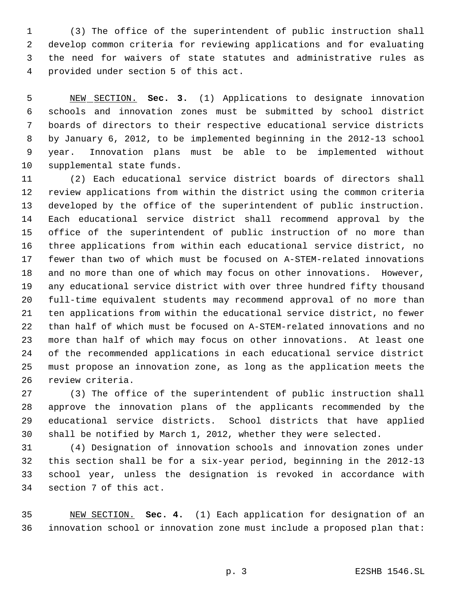(3) The office of the superintendent of public instruction shall develop common criteria for reviewing applications and for evaluating the need for waivers of state statutes and administrative rules as provided under section 5 of this act.

 NEW SECTION. **Sec. 3.** (1) Applications to designate innovation schools and innovation zones must be submitted by school district boards of directors to their respective educational service districts by January 6, 2012, to be implemented beginning in the 2012-13 school year. Innovation plans must be able to be implemented without supplemental state funds.

 (2) Each educational service district boards of directors shall review applications from within the district using the common criteria developed by the office of the superintendent of public instruction. Each educational service district shall recommend approval by the office of the superintendent of public instruction of no more than three applications from within each educational service district, no fewer than two of which must be focused on A-STEM-related innovations and no more than one of which may focus on other innovations. However, any educational service district with over three hundred fifty thousand full-time equivalent students may recommend approval of no more than ten applications from within the educational service district, no fewer than half of which must be focused on A-STEM-related innovations and no more than half of which may focus on other innovations. At least one of the recommended applications in each educational service district must propose an innovation zone, as long as the application meets the review criteria.

 (3) The office of the superintendent of public instruction shall approve the innovation plans of the applicants recommended by the educational service districts. School districts that have applied shall be notified by March 1, 2012, whether they were selected.

 (4) Designation of innovation schools and innovation zones under this section shall be for a six-year period, beginning in the 2012-13 school year, unless the designation is revoked in accordance with section 7 of this act.

 NEW SECTION. **Sec. 4.** (1) Each application for designation of an innovation school or innovation zone must include a proposed plan that: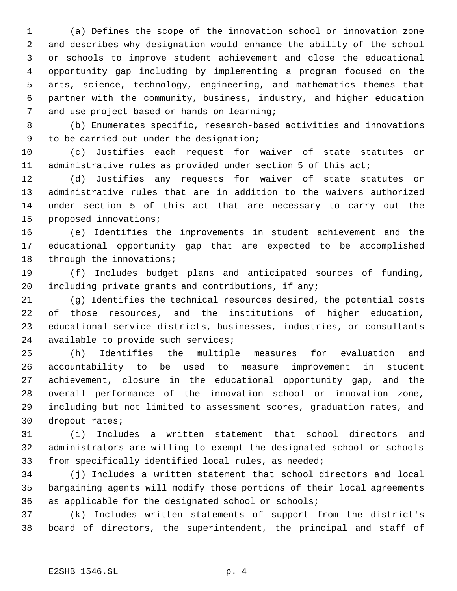(a) Defines the scope of the innovation school or innovation zone and describes why designation would enhance the ability of the school or schools to improve student achievement and close the educational opportunity gap including by implementing a program focused on the arts, science, technology, engineering, and mathematics themes that partner with the community, business, industry, and higher education and use project-based or hands-on learning;

 (b) Enumerates specific, research-based activities and innovations to be carried out under the designation;

 (c) Justifies each request for waiver of state statutes or administrative rules as provided under section 5 of this act;

 (d) Justifies any requests for waiver of state statutes or administrative rules that are in addition to the waivers authorized under section 5 of this act that are necessary to carry out the proposed innovations;

 (e) Identifies the improvements in student achievement and the educational opportunity gap that are expected to be accomplished 18 through the innovations;

 (f) Includes budget plans and anticipated sources of funding, including private grants and contributions, if any;

 (g) Identifies the technical resources desired, the potential costs of those resources, and the institutions of higher education, educational service districts, businesses, industries, or consultants 24 available to provide such services;

 (h) Identifies the multiple measures for evaluation and accountability to be used to measure improvement in student achievement, closure in the educational opportunity gap, and the overall performance of the innovation school or innovation zone, including but not limited to assessment scores, graduation rates, and dropout rates;

 (i) Includes a written statement that school directors and administrators are willing to exempt the designated school or schools from specifically identified local rules, as needed;

 (j) Includes a written statement that school directors and local bargaining agents will modify those portions of their local agreements as applicable for the designated school or schools;

 (k) Includes written statements of support from the district's board of directors, the superintendent, the principal and staff of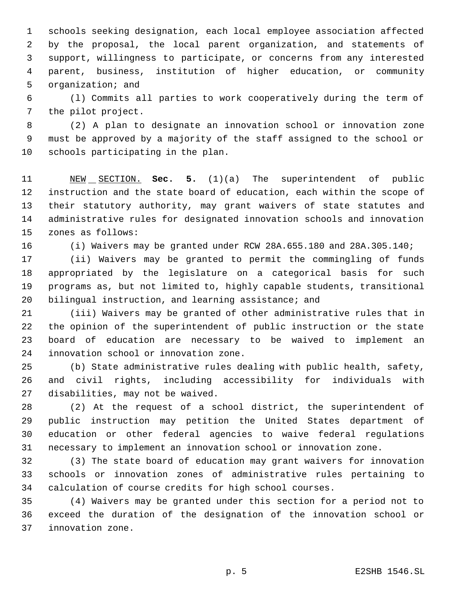schools seeking designation, each local employee association affected by the proposal, the local parent organization, and statements of support, willingness to participate, or concerns from any interested parent, business, institution of higher education, or community organization; and

 (l) Commits all parties to work cooperatively during the term of the pilot project.

 (2) A plan to designate an innovation school or innovation zone must be approved by a majority of the staff assigned to the school or schools participating in the plan.

 NEW SECTION. **Sec. 5.** (1)(a) The superintendent of public instruction and the state board of education, each within the scope of their statutory authority, may grant waivers of state statutes and administrative rules for designated innovation schools and innovation zones as follows:

(i) Waivers may be granted under RCW 28A.655.180 and 28A.305.140;

 (ii) Waivers may be granted to permit the commingling of funds appropriated by the legislature on a categorical basis for such programs as, but not limited to, highly capable students, transitional 20 bilingual instruction, and learning assistance; and

 (iii) Waivers may be granted of other administrative rules that in the opinion of the superintendent of public instruction or the state board of education are necessary to be waived to implement an innovation school or innovation zone.

 (b) State administrative rules dealing with public health, safety, and civil rights, including accessibility for individuals with disabilities, may not be waived.

 (2) At the request of a school district, the superintendent of public instruction may petition the United States department of education or other federal agencies to waive federal regulations necessary to implement an innovation school or innovation zone.

 (3) The state board of education may grant waivers for innovation schools or innovation zones of administrative rules pertaining to calculation of course credits for high school courses.

 (4) Waivers may be granted under this section for a period not to exceed the duration of the designation of the innovation school or innovation zone.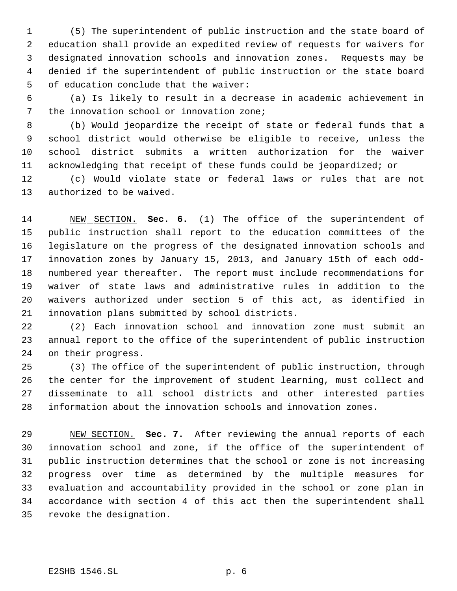(5) The superintendent of public instruction and the state board of education shall provide an expedited review of requests for waivers for designated innovation schools and innovation zones. Requests may be denied if the superintendent of public instruction or the state board of education conclude that the waiver:

 (a) Is likely to result in a decrease in academic achievement in the innovation school or innovation zone;

 (b) Would jeopardize the receipt of state or federal funds that a school district would otherwise be eligible to receive, unless the school district submits a written authorization for the waiver acknowledging that receipt of these funds could be jeopardized; or

 (c) Would violate state or federal laws or rules that are not authorized to be waived.

 NEW SECTION. **Sec. 6.** (1) The office of the superintendent of public instruction shall report to the education committees of the legislature on the progress of the designated innovation schools and innovation zones by January 15, 2013, and January 15th of each odd- numbered year thereafter. The report must include recommendations for waiver of state laws and administrative rules in addition to the waivers authorized under section 5 of this act, as identified in innovation plans submitted by school districts.

 (2) Each innovation school and innovation zone must submit an annual report to the office of the superintendent of public instruction on their progress.

 (3) The office of the superintendent of public instruction, through the center for the improvement of student learning, must collect and disseminate to all school districts and other interested parties information about the innovation schools and innovation zones.

 NEW SECTION. **Sec. 7.** After reviewing the annual reports of each innovation school and zone, if the office of the superintendent of public instruction determines that the school or zone is not increasing progress over time as determined by the multiple measures for evaluation and accountability provided in the school or zone plan in accordance with section 4 of this act then the superintendent shall revoke the designation.